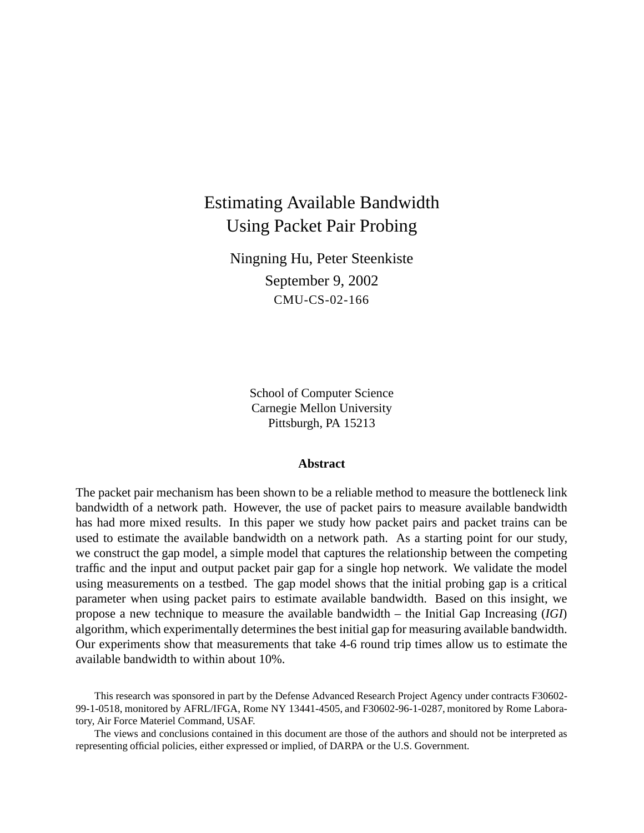# Estimating Available Bandwidth Using Packet Pair Probing

Ningning Hu, Peter Steenkiste September 9, 2002 CMU-CS-02-166

> School of Computer Science Carnegie Mellon University Pittsburgh, PA 15213

#### **Abstract**

The packet pair mechanism has been shown to be a reliable method to measure the bottleneck link bandwidth of a network path. However, the use of packet pairs to measure available bandwidth has had more mixed results. In this paper we study how packet pairs and packet trains can be used to estimate the available bandwidth on a network path. As a starting point for our study, we construct the gap model, a simple model that captures the relationship between the competing traffic and the input and output packet pair gap for a single hop network. We validate the model using measurements on a testbed. The gap model shows that the initial probing gap is a critical parameter when using packet pairs to estimate available bandwidth. Based on this insight, we propose a new technique to measure the available bandwidth – the Initial Gap Increasing (*IGI*) algorithm, which experimentally determines the best initial gap for measuring available bandwidth. Our experiments show that measurements that take 4-6 round trip times allow us to estimate the available bandwidth to within about 10%.

This research was sponsored in part by the Defense Advanced Research Project Agency under contracts F30602- 99-1-0518, monitored by AFRL/IFGA, Rome NY 13441-4505, and F30602-96-1-0287, monitored by Rome Laboratory, Air Force Materiel Command, USAF.

The views and conclusions contained in this document are those of the authors and should not be interpreted as representing official policies, either expressed or implied, of DARPA or the U.S. Government.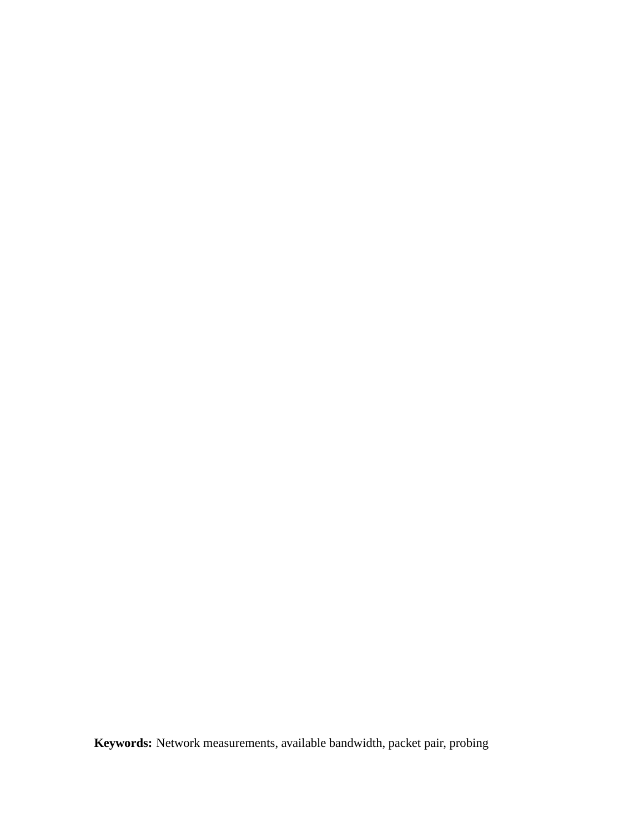**Keywords:** Network measurements, available bandwidth, packet pair, probing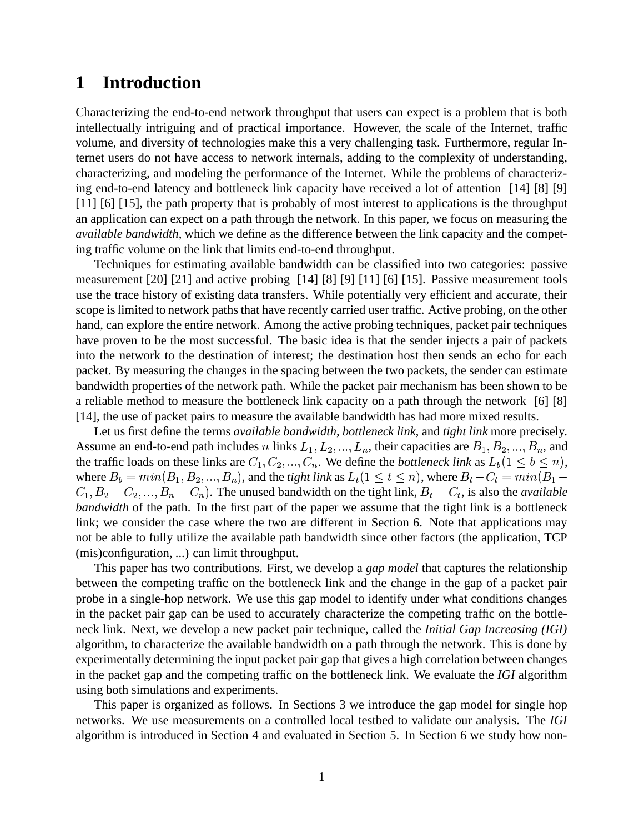## **1 Introduction**

Characterizing the end-to-end network throughput that users can expect is a problem that is both intellectually intriguing and of practical importance. However, the scale of the Internet, traffic volume, and diversity of technologies make this a very challenging task. Furthermore, regular Internet users do not have access to network internals, adding to the complexity of understanding, characterizing, and modeling the performance of the Internet. While the problems of characterizing end-to-end latency and bottleneck link capacity have received a lot of attention [14] [8] [9] [11] [6] [15], the path property that is probably of most interest to applications is the throughput an application can expect on a path through the network. In this paper, we focus on measuring the *available bandwidth*, which we define as the difference between the link capacity and the competing traffic volume on the link that limits end-to-end throughput.

Techniques for estimating available bandwidth can be classified into two categories: passive measurement [20] [21] and active probing [14] [8] [9] [11] [6] [15]. Passive measurement tools use the trace history of existing data transfers. While potentially very efficient and accurate, their scope is limited to network paths that have recently carried user traffic. Active probing, on the other hand, can explore the entire network. Among the active probing techniques, packet pair techniques have proven to be the most successful. The basic idea is that the sender injects a pair of packets into the network to the destination of interest; the destination host then sends an echo for each packet. By measuring the changes in the spacing between the two packets, the sender can estimate bandwidth properties of the network path. While the packet pair mechanism has been shown to be a reliable method to measure the bottleneck link capacity on a path through the network [6] [8] [14], the use of packet pairs to measure the available bandwidth has had more mixed results.

Let us first define the terms *available bandwidth*, *bottleneck link*, and *tight link* more precisely. Assume an end-to-end path includes n links  $L_1, L_2, ..., L_n$ , their capacities are  $B_1, B_2, ..., B_n$ , an  $_n$ , and the traffic loads on these links are  $C_1, C_2, ..., C_n$ . We  $n.$  We define the *bottleneck link* as  $L_b(1 \leq b \leq n)$ , where  $B_b = min(B_1, B_2, ..., B_n)$ , and <sub>n</sub>), and the *tight link* as  $L_t(1 \le t \le n)$ , where  $B_t - C_t = min(B)$  $C_t = min(B_1 -1 = 1 - 1$ -  $\sim$   $\sim$   $\sim$   $\sim$   $\sim$   $\sim$   $\sim$ . \_ ,, \_ \_ ,, , \_ \_ \_ \_ \_ \_ \_ 1.  $-1000$ <sub>n</sub>). The unused bandwidth on the tight link,  $B_t - C_t$ , is also the & , is also the *available bandwidth* of the path. In the first part of the paper we assume that the tight link is a bottleneck link; we consider the case where the two are different in Section 6. Note that applications may not be able to fully utilize the available path bandwidth since other factors (the application, TCP (mis)configuration, ...) can limit throughput.

This paper has two contributions. First, we develop a *gap model* that captures the relationship between the competing traffic on the bottleneck link and the change in the gap of a packet pair probe in a single-hop network. We use this gap model to identify under what conditions changes in the packet pair gap can be used to accurately characterize the competing traffic on the bottleneck link. Next, we develop a new packet pair technique, called the *Initial Gap Increasing (IGI)* algorithm, to characterize the available bandwidth on a path through the network. This is done by experimentally determining the input packet pair gap that gives a high correlation between changes in the packet gap and the competing traffic on the bottleneck link. We evaluate the *IGI* algorithm using both simulations and experiments.

This paper is organized as follows. In Sections 3 we introduce the gap model for single hop networks. We use measurements on a controlled local testbed to validate our analysis. The *IGI* algorithm is introduced in Section 4 and evaluated in Section 5. In Section 6 we study how non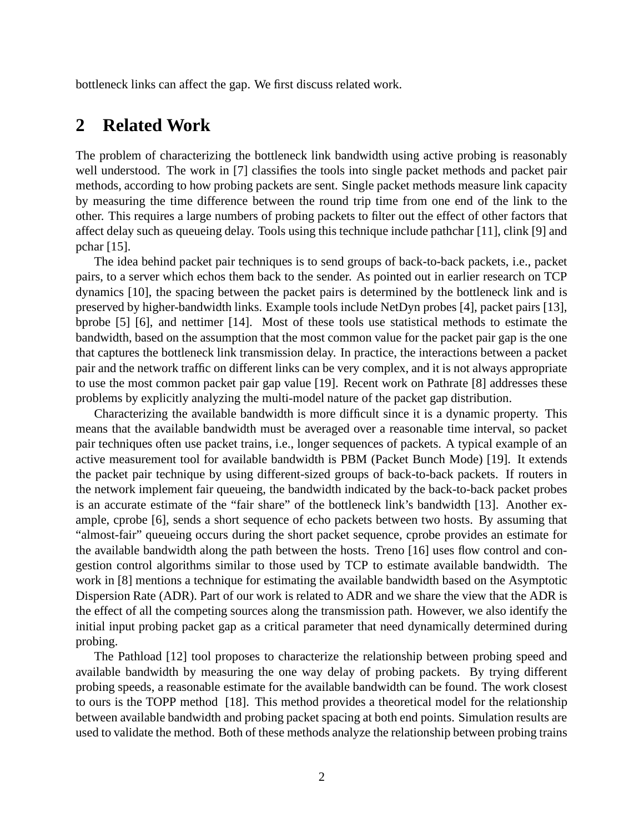bottleneck links can affect the gap. We first discuss related work.

# **2 Related Work**

The problem of characterizing the bottleneck link bandwidth using active probing is reasonably well understood. The work in [7] classifies the tools into single packet methods and packet pair methods, according to how probing packets are sent. Single packet methods measure link capacity by measuring the time difference between the round trip time from one end of the link to the other. This requires a large numbers of probing packets to filter out the effect of other factors that affect delay such as queueing delay. Tools using this technique include pathchar [11], clink [9] and pchar [15].

The idea behind packet pair techniques is to send groups of back-to-back packets, i.e., packet pairs, to a server which echos them back to the sender. As pointed out in earlier research on TCP dynamics [10], the spacing between the packet pairs is determined by the bottleneck link and is preserved by higher-bandwidth links. Example tools include NetDyn probes [4], packet pairs [13], bprobe [5] [6], and nettimer [14]. Most of these tools use statistical methods to estimate the bandwidth, based on the assumption that the most common value for the packet pair gap is the one that captures the bottleneck link transmission delay. In practice, the interactions between a packet pair and the network traffic on different links can be very complex, and it is not always appropriate to use the most common packet pair gap value [19]. Recent work on Pathrate [8] addresses these problems by explicitly analyzing the multi-model nature of the packet gap distribution.

Characterizing the available bandwidth is more difficult since it is a dynamic property. This means that the available bandwidth must be averaged over a reasonable time interval, so packet pair techniques often use packet trains, i.e., longer sequences of packets. A typical example of an active measurement tool for available bandwidth is PBM (Packet Bunch Mode) [19]. It extends the packet pair technique by using different-sized groups of back-to-back packets. If routers in the network implement fair queueing, the bandwidth indicated by the back-to-back packet probes is an accurate estimate of the "fair share" of the bottleneck link's bandwidth [13]. Another example, cprobe [6], sends a short sequence of echo packets between two hosts. By assuming that "almost-fair" queueing occurs during the short packet sequence, cprobe provides an estimate for the available bandwidth along the path between the hosts. Treno [16] uses flow control and congestion control algorithms similar to those used by TCP to estimate available bandwidth. The work in [8] mentions a technique for estimating the available bandwidth based on the Asymptotic Dispersion Rate (ADR). Part of our work is related to ADR and we share the view that the ADR is the effect of all the competing sources along the transmission path. However, we also identify the initial input probing packet gap as a critical parameter that need dynamically determined during probing.

The Pathload [12] tool proposes to characterize the relationship between probing speed and available bandwidth by measuring the one way delay of probing packets. By trying different probing speeds, a reasonable estimate for the available bandwidth can be found. The work closest to ours is the TOPP method [18]. This method provides a theoretical model for the relationship between available bandwidth and probing packet spacing at both end points. Simulation results are used to validate the method. Both of these methods analyze the relationship between probing trains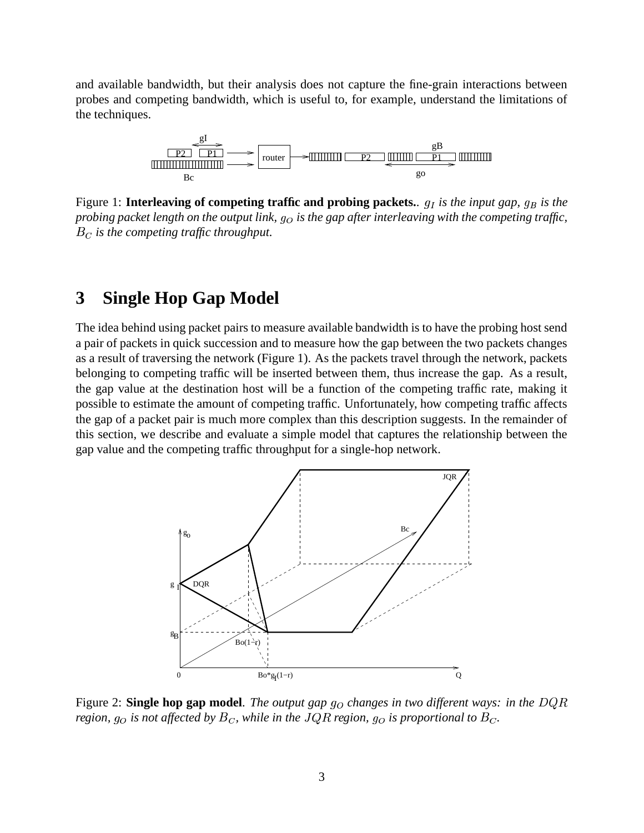and available bandwidth, but their analysis does not capture the fine-grain interactions between probes and competing bandwidth, which is useful to, for example, understand the limitations of the techniques.



Figure 1: **Interleaving of competing traffic and probing packets.**. *is the input gap, is the probing packet length on the output link, is the gap after interleaving with the competing traffic, is the competing traffic throughput.*

## **3 Single Hop Gap Model**

The idea behind using packet pairs to measure available bandwidth is to have the probing host send a pair of packets in quick succession and to measure how the gap between the two packets changes as a result of traversing the network (Figure 1). As the packets travel through the network, packets belonging to competing traffic will be inserted between them, thus increase the gap. As a result, the gap value at the destination host will be a function of the competing traffic rate, making it possible to estimate the amount of competing traffic. Unfortunately, how competing traffic affects the gap of a packet pair is much more complex than this description suggests. In the remainder of this section, we describe and evaluate a simple model that captures the relationship between the gap value and the competing traffic throughput for a single-hop network.



Figure 2: **Single hop gap model**. The output gap g<sub>O</sub> changes in two different ways: in the DQR *region,*  $g<sub>O</sub>$  *is not affected by*  $B<sub>C</sub>$ *, while in the JQR region,*  $g<sub>O</sub>$  *is proportional to*  $B<sub>C</sub>$ *.*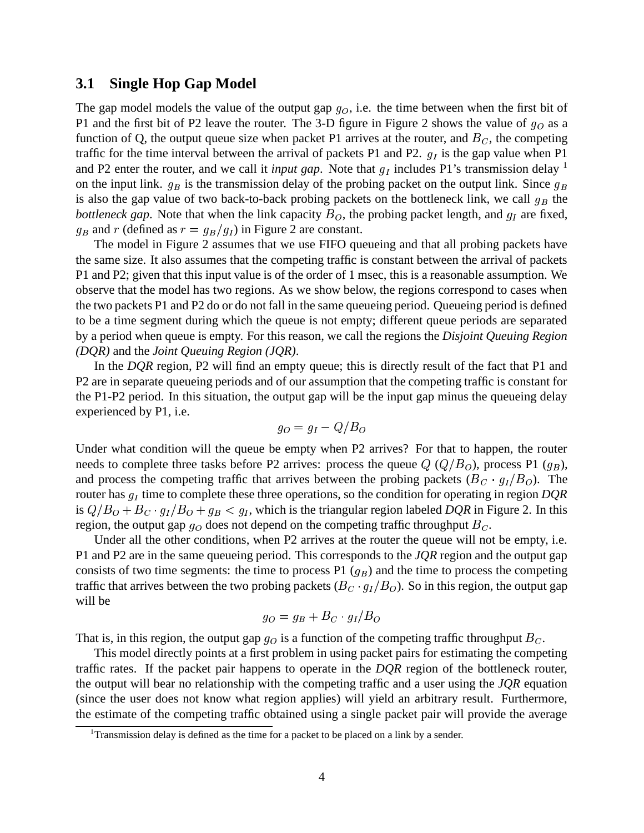#### **3.1 Single Hop Gap Model**

The gap model models the value of the output gap  $g<sub>O</sub>$ , i.e. the time between when the first bit of P1 and the first bit of P2 leave the router. The 3-D figure in Figure 2 shows the value of  $g<sub>O</sub>$  as a function of Q, the output queue size when packet P1 arrives at the router, and  $B<sub>C</sub>$ , the competing traffic for the time interval between the arrival of packets P1 and P2.  $g_I$  is the gap value when P1 and P2 enter the router, and we call it *input gap*. Note that  $g_I$  includes P1's transmission delay <sup>1</sup> on the input link.  $g_B$  is the transmission delay of the probing packet on the output link. Since  $g_B$ is also the gap value of two back-to-back probing packets on the bottleneck link, we call  $g_B$  the *bottleneck gap*. Note that when the link capacity  $B<sub>O</sub>$ , the probing packet length, and  $g<sub>I</sub>$  are fixed,  $g_B$  and r (defined as  $r = g_B/g_I$ ) in Figure 2 are constant.

The model in Figure 2 assumes that we use FIFO queueing and that all probing packets have the same size. It also assumes that the competing traffic is constant between the arrival of packets P1 and P2; given that this input value is of the order of 1 msec, this is a reasonable assumption. We observe that the model has two regions. As we show below, the regions correspond to cases when the two packets P1 and P2 do or do not fall in the same queueing period. Queueing period is defined to be a time segment during which the queue is not empty; different queue periods are separated by a period when queue is empty. For this reason, we call the regions the *Disjoint Queuing Region (DQR)* and the *Joint Queuing Region (JQR)*.

In the *DQR* region, P2 will find an empty queue; this is directly result of the fact that P1 and P2 are in separate queueing periods and of our assumption that the competing traffic is constant for the P1-P2 period. In this situation, the output gap will be the input gap minus the queueing delay experienced by P1, i.e.

$$
g_O = g_I - Q/B_O
$$

Under what condition will the queue be empty when P2 arrives? For that to happen, the router needs to complete three tasks before P2 arrives: process the queue  $Q(Q/B<sub>O</sub>)$ , process P1  $(g_B)$ , and process the competing traffic that arrives between the probing packets  $(B_C \cdot g_I/B_O)$ . The router has  $g_I$  time to complete these three operations, so the condition for operating in region  $DQR$ is  $Q/B_O + B_C \cdot g_I/B_O + g_B < g_I$ , which is the triangular region labeled *DQR* in Figure 2. In this region, the output gap  $g_O$  does not depend on the competing traffic throughput  $B_C$ .

Under all the other conditions, when P2 arrives at the router the queue will not be empty, i.e. P1 and P2 are in the same queueing period. This corresponds to the *JQR* region and the output gap consists of two time segments: the time to process P1  $(g_B)$  and the time to process the competing traffic that arrives between the two probing packets ( $B_C \cdot g_I/B_O$ ). So in this region, the output gap will be

$$
g_O = g_B + B_C \cdot g_I / B_O
$$

That is, in this region, the output gap  $g_O$  is a function of the competing traffic throughput  $B_C$ .

This model directly points at a first problem in using packet pairs for estimating the competing traffic rates. If the packet pair happens to operate in the *DQR* region of the bottleneck router, the output will bear no relationship with the competing traffic and a user using the *JQR* equation (since the user does not know what region applies) will yield an arbitrary result. Furthermore, the estimate of the competing traffic obtained using a single packet pair will provide the average

<sup>&</sup>lt;sup>1</sup>Transmission delay is defined as the time for a packet to be placed on a link by a sender.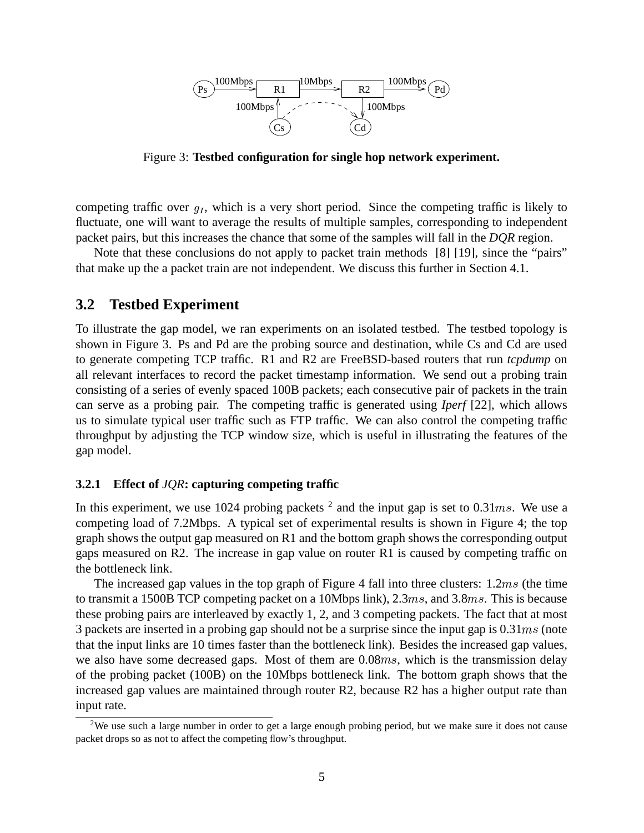

Figure 3: **Testbed configuration for single hop network experiment.**

competing traffic over  $g_I$ , which is a very short period. Since the competing traffic is likely to fluctuate, one will want to average the results of multiple samples, corresponding to independent packet pairs, but this increases the chance that some of the samples will fall in the *DQR* region.

Note that these conclusions do not apply to packet train methods [8] [19], since the "pairs" that make up the a packet train are not independent. We discuss this further in Section 4.1.

### **3.2 Testbed Experiment**

To illustrate the gap model, we ran experiments on an isolated testbed. The testbed topology is shown in Figure 3. Ps and Pd are the probing source and destination, while Cs and Cd are used to generate competing TCP traffic. R1 and R2 are FreeBSD-based routers that run *tcpdump* on all relevant interfaces to record the packet timestamp information. We send out a probing train consisting of a series of evenly spaced 100B packets; each consecutive pair of packets in the train can serve as a probing pair. The competing traffic is generated using *Iperf* [22], which allows us to simulate typical user traffic such as FTP traffic. We can also control the competing traffic throughput by adjusting the TCP window size, which is useful in illustrating the features of the gap model.

#### **3.2.1 Effect of** *JQR***: capturing competing traffic**

In this experiment, we use 1024 probing packets  $^2$  and the input gap is set to 0.31ms. We use a competing load of 7.2Mbps. A typical set of experimental results is shown in Figure 4; the top graph shows the output gap measured on R1 and the bottom graph shows the corresponding output gaps measured on R2. The increase in gap value on router R1 is caused by competing traffic on the bottleneck link.

The increased gap values in the top graph of Figure 4 fall into three clusters:  $1.2ms$  (the time to transmit a 1500B TCP competing packet on a 10Mbps link),  $2.3ms$ , and  $3.8ms$ . This is because these probing pairs are interleaved by exactly 1, 2, and 3 competing packets. The fact that at most 3 packets are inserted in a probing gap should not be a surprise since the input gap is  $0.31ms$  (note that the input links are 10 times faster than the bottleneck link). Besides the increased gap values, we also have some decreased gaps. Most of them are  $0.08ms$ , which is the transmission delay of the probing packet (100B) on the 10Mbps bottleneck link. The bottom graph shows that the increased gap values are maintained through router R2, because R2 has a higher output rate than input rate.

<sup>&</sup>lt;sup>2</sup>We use such a large number in order to get a large enough probing period, but we make sure it does not cause packet drops so as not to affect the competing flow's throughput.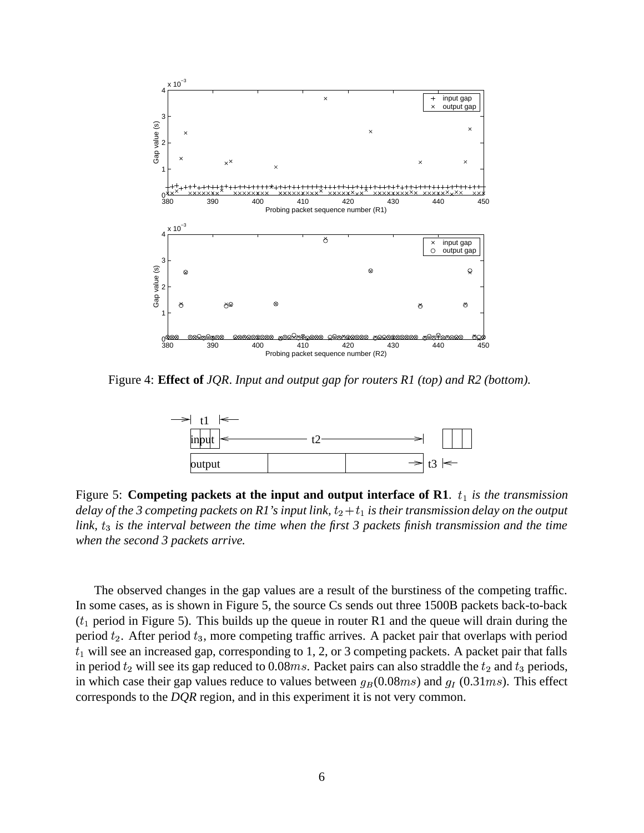

Figure 4: **Effect of** *JQR*. *Input and output gap for routers R1 (top) and R2 (bottom).*



Figure 5: **Competing packets at the input and output interface of R1.**  $t_1$  is the transmission delay of the 3 competing packets on R1's input link,  $t_2+t_1$  is their transmission delay on the output *link,* \* *is the interval between the time when the first 3 packets finish transmission and the time when the second 3 packets arrive.*

The observed changes in the gap values are a result of the burstiness of the competing traffic. In some cases, as is shown in Figure 5, the source Cs sends out three 1500B packets back-to-back  $(t_1$  period in Figure 5). This builds up the queue in router R1 and the queue will drain during the period  $t_2$ . After period  $t_3$ , more competing traffic arrives. A packet pair that overlaps with period  $t_1$  will see an increased gap, corresponding to 1, 2, or 3 competing packets. A packet pair that falls in period  $t_2$  will see its gap reduced to 0.08 $ms$ . Packet pairs can also straddle the  $t_2$  and  $t_3$  periods, in which case their gap values reduce to values between  $g_B(0.08ms)$  and  $g_I(0.31ms)$ . This effect corresponds to the *DQR* region, and in this experiment it is not very common.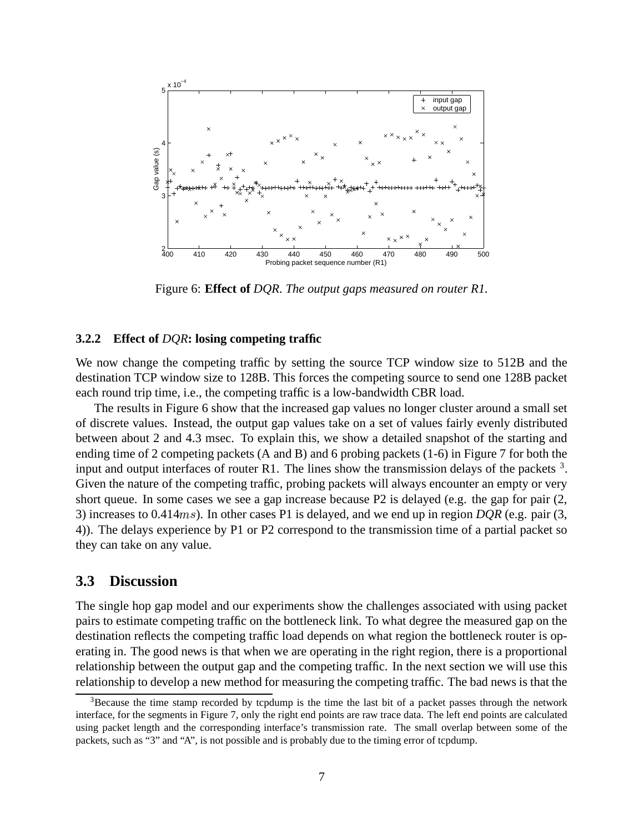

Figure 6: **Effect of** *DQR*. *The output gaps measured on router R1.*

#### **3.2.2 Effect of** *DQR***: losing competing traffic**

We now change the competing traffic by setting the source TCP window size to 512B and the destination TCP window size to 128B. This forces the competing source to send one 128B packet each round trip time, i.e., the competing traffic is a low-bandwidth CBR load.

The results in Figure 6 show that the increased gap values no longer cluster around a small set of discrete values. Instead, the output gap values take on a set of values fairly evenly distributed between about 2 and 4.3 msec. To explain this, we show a detailed snapshot of the starting and ending time of 2 competing packets (A and B) and 6 probing packets (1-6) in Figure 7 for both the input and output interfaces of router R1. The lines show the transmission delays of the packets  $3$ . Given the nature of the competing traffic, probing packets will always encounter an empty or very short queue. In some cases we see a gap increase because P2 is delayed (e.g. the gap for pair (2, 3) increases to  $0.414ms$ ). In other cases P1 is delayed, and we end up in region  $DQR$  (e.g. pair (3, 4)). The delays experience by P1 or P2 correspond to the transmission time of a partial packet so they can take on any value.

### **3.3 Discussion**

The single hop gap model and our experiments show the challenges associated with using packet pairs to estimate competing traffic on the bottleneck link. To what degree the measured gap on the destination reflects the competing traffic load depends on what region the bottleneck router is operating in. The good news is that when we are operating in the right region, there is a proportional relationship between the output gap and the competing traffic. In the next section we will use this relationship to develop a new method for measuring the competing traffic. The bad news is that the

 $3B$  Because the time stamp recorded by tcpdump is the time the last bit of a packet passes through the network interface, for the segments in Figure 7, only the right end points are raw trace data. The left end points are calculated using packet length and the corresponding interface's transmission rate. The small overlap between some of the packets, such as "3" and "A", is not possible and is probably due to the timing error of tcpdump.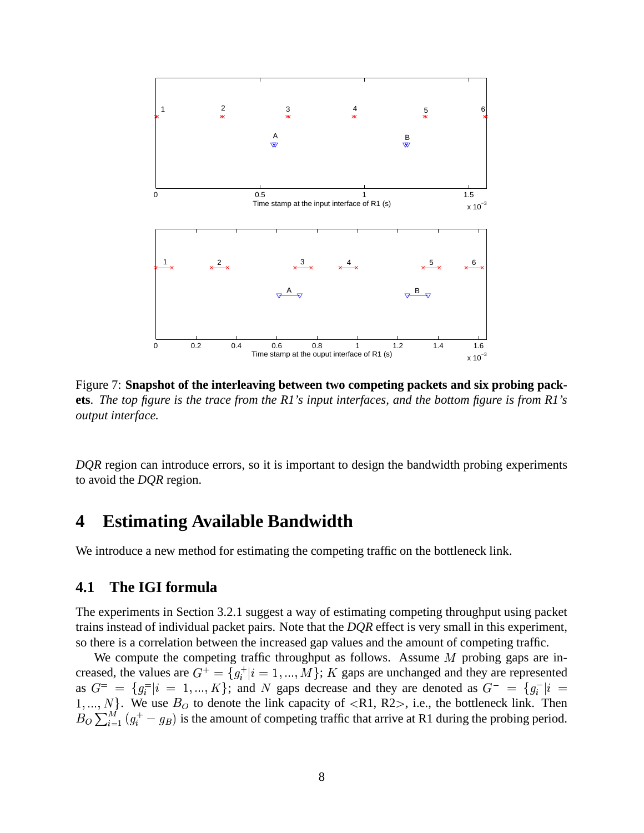

Figure 7: **Snapshot of the interleaving between two competing packets and six probing pack**ets. The top figure is the trace from the R1's input interfaces, and the bottom figure is from R1's *output interface.*

*DQR* region can introduce errors, so it is important to design the bandwidth probing experiments to avoid the *DQR* region.

## **4 Estimating Available Bandwidth**

We introduce a new method for estimating the competing traffic on the bottleneck link.

### **4.1 The IGI formula**

The experiments in Section 3.2.1 suggest a way of estimating competing throughput using packet trains instead of individual packet pairs. Note that the *DQR* effect is very small in this experiment, so there is a correlation between the increased gap values and the amount of competing traffic.

We compute the competing traffic throughput as follows. Assume  $M$  probing gaps are increased, the values are  $G^+ = \{g_i^+ | i =$  $g_i^+|i=1,...,M\}$ ; K gaps are unchanged and they are represented as  $G^=$  =  $\{g_i^=|i=1,...,K\}$  ; and N gaps decrease and they are denoted as  $G^- = \{g_i^- | i =$  . We use  $B<sub>O</sub>$  to denote the link capacity of  $\langle R1, R2 \rangle$ , i.e., the bottleneck link. Then  $B_O \sum_{i=1}^{M} (g_i^+ - g_B)$  is the amount of competing traffic that arrive at R1 during the probing period.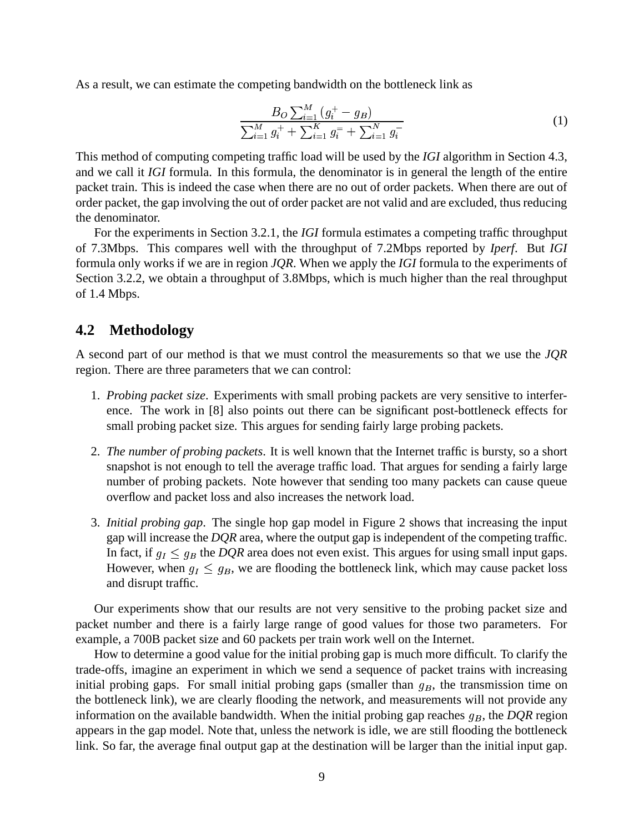As a result, we can estimate the competing bandwidth on the bottleneck link as

$$
\frac{B_O \sum_{i=1}^{M} (g_i^+ - g_B)}{\sum_{i=1}^{M} g_i^+ + \sum_{i=1}^{K} g_i^- + \sum_{i=1}^{N} g_i^-}
$$
(1)

This method of computing competing traffic load will be used by the *IGI* algorithm in Section 4.3, and we call it *IGI* formula. In this formula, the denominator is in general the length of the entire packet train. This is indeed the case when there are no out of order packets. When there are out of order packet, the gap involving the out of order packet are not valid and are excluded, thus reducing the denominator.

For the experiments in Section 3.2.1, the *IGI* formula estimates a competing traffic throughput of 7.3Mbps. This compares well with the throughput of 7.2Mbps reported by *Iperf*. But *IGI* formula only works if we are in region *JQR*. When we apply the *IGI* formula to the experiments of Section 3.2.2, we obtain a throughput of 3.8Mbps, which is much higher than the real throughput of 1.4 Mbps.

### **4.2 Methodology**

A second part of our method is that we must control the measurements so that we use the *JQR* region. There are three parameters that we can control:

- 1. *Probing packet size*. Experiments with small probing packets are very sensitive to interference. The work in [8] also points out there can be significant post-bottleneck effects for small probing packet size. This argues for sending fairly large probing packets.
- 2. *The number of probing packets*. It is well known that the Internet traffic is bursty, so a short snapshot is not enough to tell the average traffic load. That argues for sending a fairly large number of probing packets. Note however that sending too many packets can cause queue overflow and packet loss and also increases the network load.
- 3. *Initial probing gap*. The single hop gap model in Figure 2 shows that increasing the input gap will increase the *DQR* area, where the output gap is independent of the competing traffic. In fact, if  $g_I \leq g_B$  the *DQR* area does not even exist. This argues for using small input gaps. However, when  $g_I \leq g_B$ , we are flooding the bottleneck link, which may cause packet loss and disrupt traffic.

Our experiments show that our results are not very sensitive to the probing packet size and packet number and there is a fairly large range of good values for those two parameters. For example, a 700B packet size and 60 packets per train work well on the Internet.

How to determine a good value for the initial probing gap is much more difficult. To clarify the trade-offs, imagine an experiment in which we send a sequence of packet trains with increasing initial probing gaps. For small initial probing gaps (smaller than  $g_B$ , the transmission time on the bottleneck link), we are clearly flooding the network, and measurements will not provide any information on the available bandwidth. When the initial probing gap reaches  $g_B$ , the  $DQR$  region appears in the gap model. Note that, unless the network is idle, we are still flooding the bottleneck link. So far, the average final output gap at the destination will be larger than the initial input gap.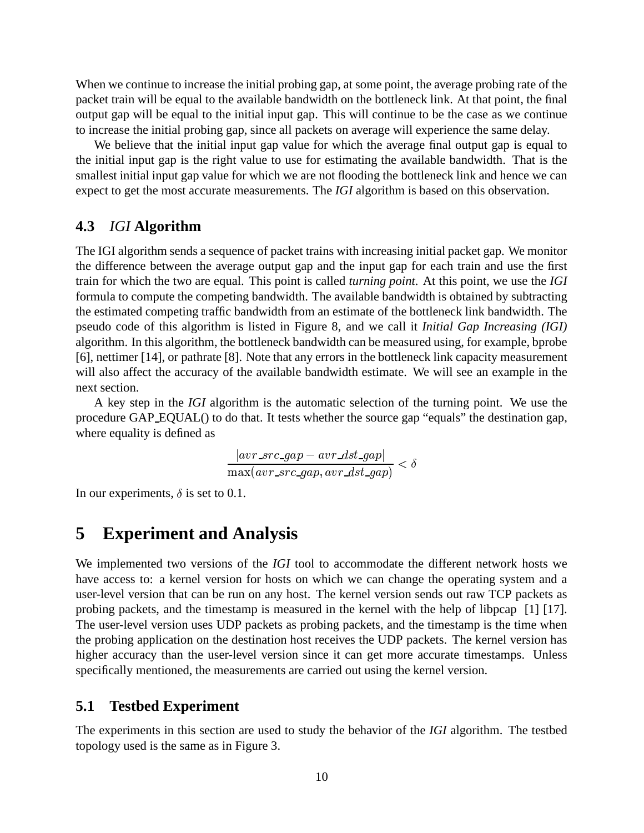When we continue to increase the initial probing gap, at some point, the average probing rate of the packet train will be equal to the available bandwidth on the bottleneck link. At that point, the final output gap will be equal to the initial input gap. This will continue to be the case as we continue to increase the initial probing gap, since all packets on average will experience the same delay.

We believe that the initial input gap value for which the average final output gap is equal to the initial input gap is the right value to use for estimating the available bandwidth. That is the smallest initial input gap value for which we are not flooding the bottleneck link and hence we can expect to get the most accurate measurements. The *IGI* algorithm is based on this observation.

### **4.3** *IGI* **Algorithm**

The IGI algorithm sends a sequence of packet trains with increasing initial packet gap. We monitor the difference between the average output gap and the input gap for each train and use the first train for which the two are equal. This point is called *turning point*. At this point, we use the *IGI* formula to compute the competing bandwidth. The available bandwidth is obtained by subtracting the estimated competing traffic bandwidth from an estimate of the bottleneck link bandwidth. The pseudo code of this algorithm is listed in Figure 8, and we call it *Initial Gap Increasing (IGI)* algorithm. In this algorithm, the bottleneck bandwidth can be measured using, for example, bprobe [6], nettimer [14], or pathrate [8]. Note that any errors in the bottleneck link capacity measurement will also affect the accuracy of the available bandwidth estimate. We will see an example in the next section.

A key step in the *IGI* algorithm is the automatic selection of the turning point. We use the procedure GAP EQUAL() to do that. It tests whether the source gap "equals" the destination gap, where equality is defined as

$$
\frac{|avr\_src\_gap - avr\_dst\_gap|}{\max(av\_src\_gap, avr\_dst\_gap)} < \delta
$$

In our experiments,  $\delta$  is set to 0.1.

### **5 Experiment and Analysis**

We implemented two versions of the *IGI* tool to accommodate the different network hosts we have access to: a kernel version for hosts on which we can change the operating system and a user-level version that can be run on any host. The kernel version sends out raw TCP packets as probing packets, and the timestamp is measured in the kernel with the help of libpcap [1] [17]. The user-level version uses UDP packets as probing packets, and the timestamp is the time when the probing application on the destination host receives the UDP packets. The kernel version has higher accuracy than the user-level version since it can get more accurate timestamps. Unless specifically mentioned, the measurements are carried out using the kernel version.

#### **5.1 Testbed Experiment**

The experiments in this section are used to study the behavior of the *IGI* algorithm. The testbed topology used is the same as in Figure 3.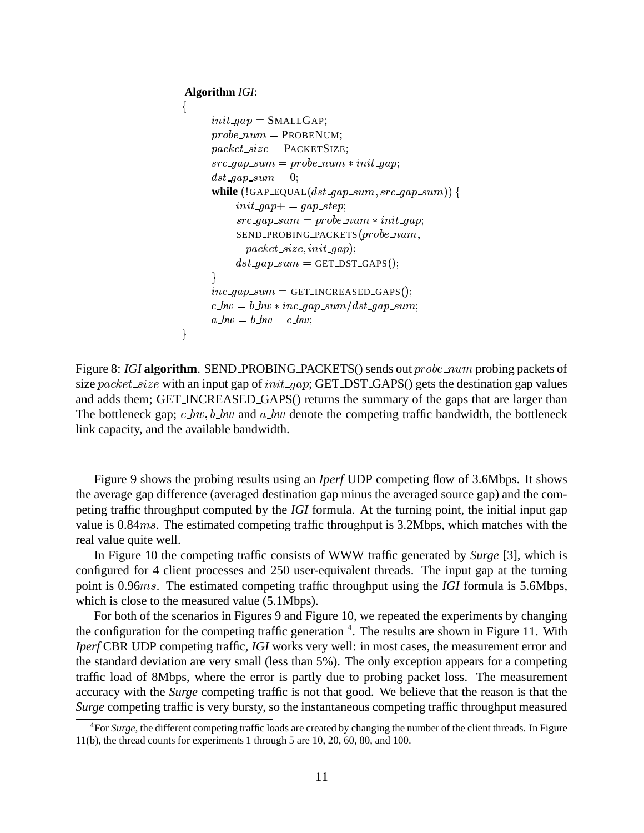#### **Algorithm** *IGI*:

```
\{init\_gap = \text{SMALLGAP};probe\_num = \text{PROBENUM};packet\_size = PACKETSIZE;

  #
$ -
&%'-
 ( 
*)
               +  	 
 ,.-/)
               while \left( !GAP_EQUAL(dst\_gap\_sum, src\_gap\_sum)\right) {
                           \mathcal{L} = \mathcal{L} \mathcal{L} = \mathcal{L} \mathcal{L} \mathcal{L} = \mathcal{L} \mathcal{L} \mathcal{L} \mathcal{L} \mathcal{L}, where the contract of the contract of the contract of the contract of the contract of the contract of the contract of the contract of the contract of the contract of the contract of the contract of the contract of the c
                           SEND_PROBING_PACKETS (probe\_num,( ) is the contract of the contract of the contract of the contract of the contract of the contract of the contract of the contract of the contract of the contract of the contract of the contract of the contract of the con
                           dst\_gap\_sum = GET\_DST\_GAPS();\mathcal{F}inc\_gap\_sum = GET\_INCREASED\_GAPS();\mathbf{F} = \mathbf{F} \mathbf{F} + \mathbf{F} \mathbf{F} , and the contract of the contract of the contract of the contract of the contract of the contract of the contract of the contract of the contract of the contract of the contract of the 
              a_bw = b_bw - c_bw;\}
```
Figure 8: *IGI* algorithm. SEND\_PROBING\_PACKETS() sends out  $probe\_num$  probing packets of size packet\_size with an input gap of  $init\_\textit{gap}$ ; GET\_DST\_GAPS() gets the destination gap values and adds them; GET INCREASED GAPS() returns the summary of the gaps that are larger than The bottleneck gap;  $c_b \cdot b_w$ ,  $b_b \cdot b_w$  and  $a_b \cdot b_w$  denote the competing traffic bandwidth, the bottleneck link capacity, and the available bandwidth.

Figure 9 shows the probing results using an *Iperf* UDP competing flow of 3.6Mbps. It shows the average gap difference (averaged destination gap minus the averaged source gap) and the competing traffic throughput computed by the *IGI* formula. At the turning point, the initial input gap value is  $0.84ms$ . The estimated competing traffic throughput is 3.2Mbps, which matches with the real value quite well.

In Figure 10 the competing traffic consists of WWW traffic generated by *Surge* [3], which is configured for 4 client processes and 250 user-equivalent threads. The input gap at the turning point is 0.96ms. The estimated competing traffic throughput using the *IGI* formula is 5.6Mbps, which is close to the measured value  $(5.1Mbps)$ .

For both of the scenarios in Figures 9 and Figure 10, we repeated the experiments by changing the configuration for the competing traffic generation <sup>4</sup>. The results are shown in Figure 11. With *Iperf* CBR UDP competing traffic, *IGI* works very well: in most cases, the measurement error and the standard deviation are very small (less than 5%). The only exception appears for a competing traffic load of 8Mbps, where the error is partly due to probing packet loss. The measurement accuracy with the *Surge* competing traffic is not that good. We believe that the reason is that the *Surge* competing traffic is very bursty, so the instantaneous competing traffic throughput measured

<sup>4</sup>For *Surge*, the different competing traffic loads are created by changing the number of the client threads. In Figure 11(b), the thread counts for experiments 1 through 5 are 10, 20, 60, 80, and 100.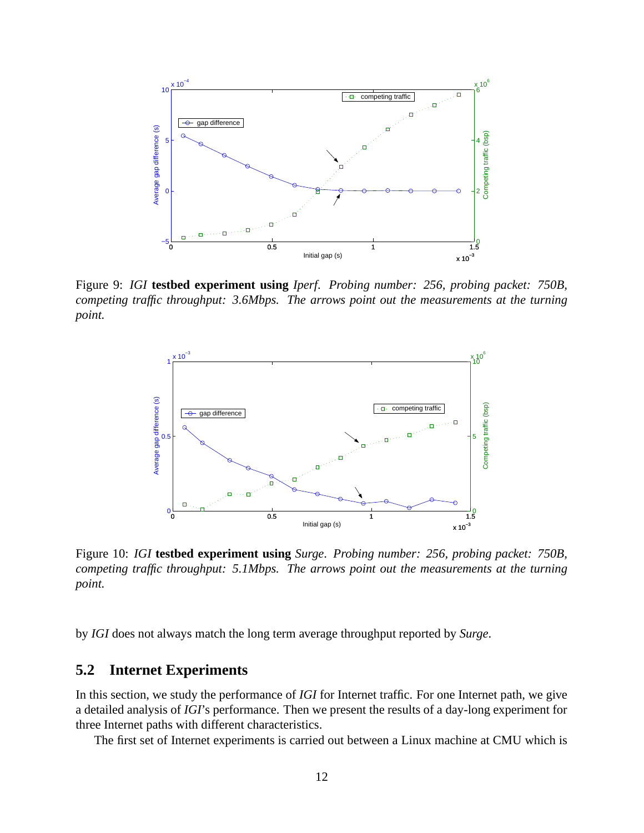

Figure 9: *IGI* **testbed experiment using** *Iperf*. *Probing number: 256, probing packet: 750B, competing traffic throughput: 3.6Mbps. The arrows point out the measurements at the turning point.*



Figure 10: *IGI* **testbed experiment using** *Surge*. *Probing number: 256, probing packet: 750B, competing traffic throughput: 5.1Mbps. The arrows point out the measurements at the turning point.*

by *IGI* does not always match the long term average throughput reported by *Surge*.

### **5.2 Internet Experiments**

In this section, we study the performance of *IGI* for Internet traffic. For one Internet path, we give a detailed analysis of *IGI*'s performance. Then we present the results of a day-long experiment for three Internet paths with different characteristics.

The first set of Internet experiments is carried out between a Linux machine at CMU which is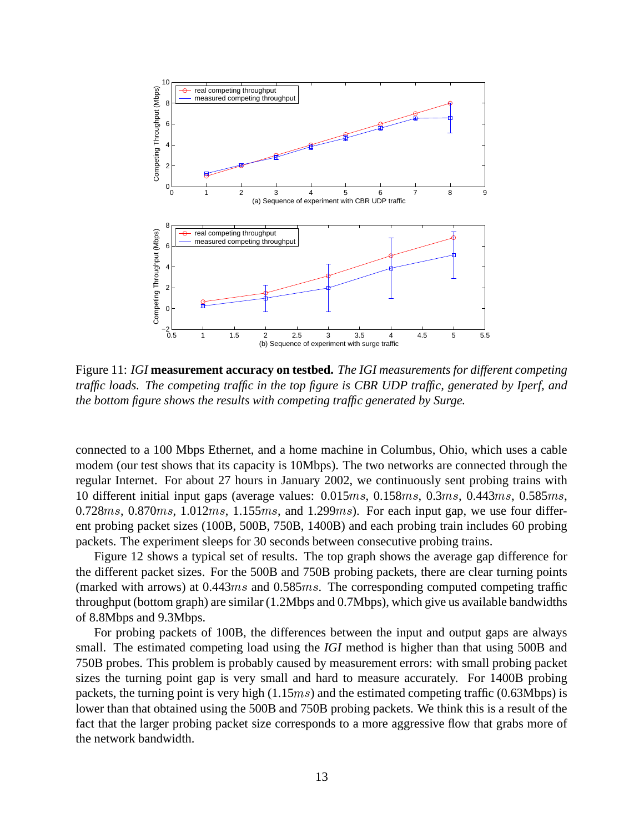

Figure 11: *IGI* **measurement accuracy on testbed.** *The IGI measurements for different competing traffic loads. The competing traffic in the top figure is CBR UDP traffic, generated by Iperf, and the bottom figure shows the results with competing traffic generated by Surge.*

connected to a 100 Mbps Ethernet, and a home machine in Columbus, Ohio, which uses a cable modem (our test shows that its capacity is 10Mbps). The two networks are connected through the regular Internet. For about 27 hours in January 2002, we continuously sent probing trains with 10 different initial input gaps (average values:  $0.015ms, 0.158ms, 0.3ms, 0.443ms, 0.585ms,$ 0.728 $ms$ , 0.870 $ms$ , 1.012 $ms$ , 1.155 $ms$ , and 1.299 $ms$ ). For each input gap, we use four different probing packet sizes (100B, 500B, 750B, 1400B) and each probing train includes 60 probing packets. The experiment sleeps for 30 seconds between consecutive probing trains.

Figure 12 shows a typical set of results. The top graph shows the average gap difference for the different packet sizes. For the 500B and 750B probing packets, there are clear turning points (marked with arrows) at  $0.443ms$  and  $0.585ms$ . The corresponding computed competing traffic throughput (bottom graph) are similar (1.2Mbps and 0.7Mbps), which give us available bandwidths of 8.8Mbps and 9.3Mbps.

For probing packets of 100B, the differences between the input and output gaps are always small. The estimated competing load using the *IGI* method is higher than that using 500B and 750B probes. This problem is probably caused by measurement errors: with small probing packet sizes the turning point gap is very small and hard to measure accurately. For 1400B probing packets, the turning point is very high  $(1.15ms)$  and the estimated competing traffic  $(0.63Mbps)$  is lower than that obtained using the 500B and 750B probing packets. We think this is a result of the fact that the larger probing packet size corresponds to a more aggressive flow that grabs more of the network bandwidth.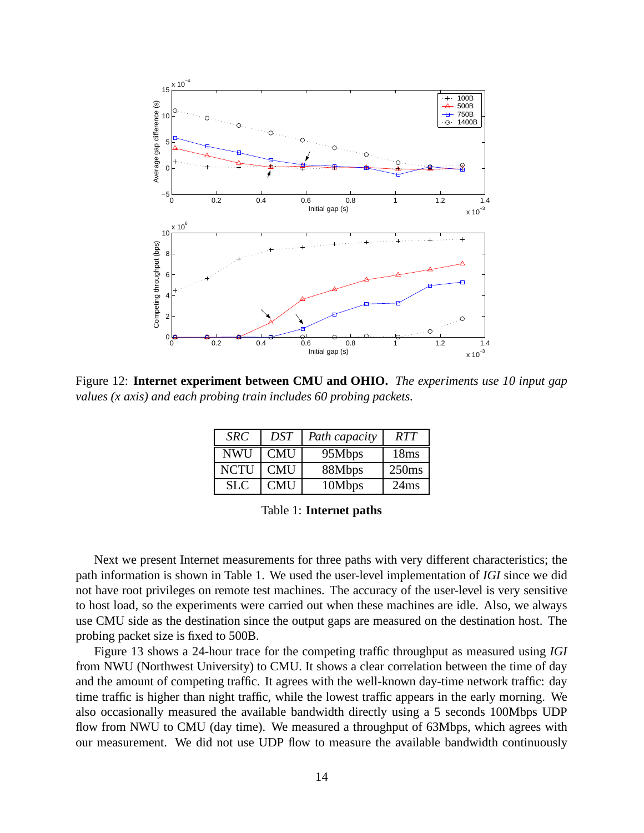

Figure 12: **Internet experiment between CMU and OHIO.** *The experiments use 10 input gap values (x axis) and each probing train includes 60 probing packets.*

| <b>SRC</b>  | <b>DST</b> | Path capacity | <b>RTT</b> |
|-------------|------------|---------------|------------|
| <b>NWU</b>  | <b>CMU</b> | 95Mbps        | 18ms       |
| <b>NCTU</b> | <b>CMU</b> | 88Mbps        | 250ms      |
| SLC.        | <b>CMU</b> | 10Mbps        | 24ms       |

Table 1: **Internet paths**

Next we present Internet measurements for three paths with very different characteristics; the path information is shown in Table 1. We used the user-level implementation of *IGI* since we did not have root privileges on remote test machines. The accuracy of the user-level is very sensitive to host load, so the experiments were carried out when these machines are idle. Also, we always use CMU side as the destination since the output gaps are measured on the destination host. The probing packet size is fixed to 500B.

Figure 13 shows a 24-hour trace for the competing traffic throughput as measured using *IGI* from NWU (Northwest University) to CMU. It shows a clear correlation between the time of day and the amount of competing traffic. It agrees with the well-known day-time network traffic: day time traffic is higher than night traffic, while the lowest traffic appears in the early morning. We also occasionally measured the available bandwidth directly using a 5 seconds 100Mbps UDP flow from NWU to CMU (day time). We measured a throughput of 63Mbps, which agrees with our measurement. We did not use UDP flow to measure the available bandwidth continuously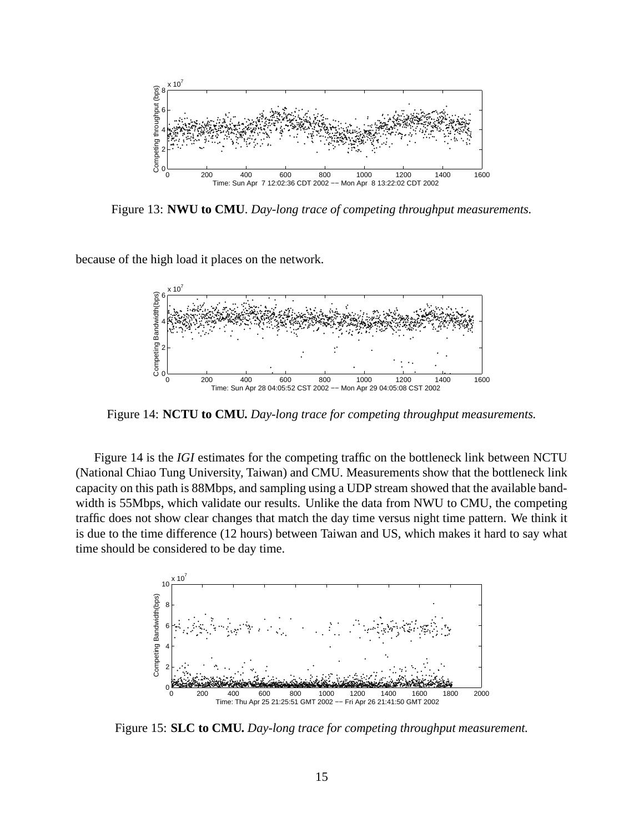

Figure 13: **NWU to CMU**. *Day-long trace of competing throughput measurements.*

because of the high load it places on the network.



Figure 14: **NCTU to CMU.** *Day-long trace for competing throughput measurements.*

Figure 14 is the *IGI* estimates for the competing traffic on the bottleneck link between NCTU (National Chiao Tung University, Taiwan) and CMU. Measurements show that the bottleneck link capacity on this path is 88Mbps, and sampling using a UDP stream showed that the available bandwidth is 55Mbps, which validate our results. Unlike the data from NWU to CMU, the competing traffic does not show clear changes that match the day time versus night time pattern. We think it is due to the time difference (12 hours) between Taiwan and US, which makes it hard to say what time should be considered to be day time.



Figure 15: **SLC to CMU.** *Day-long trace for competing throughput measurement.*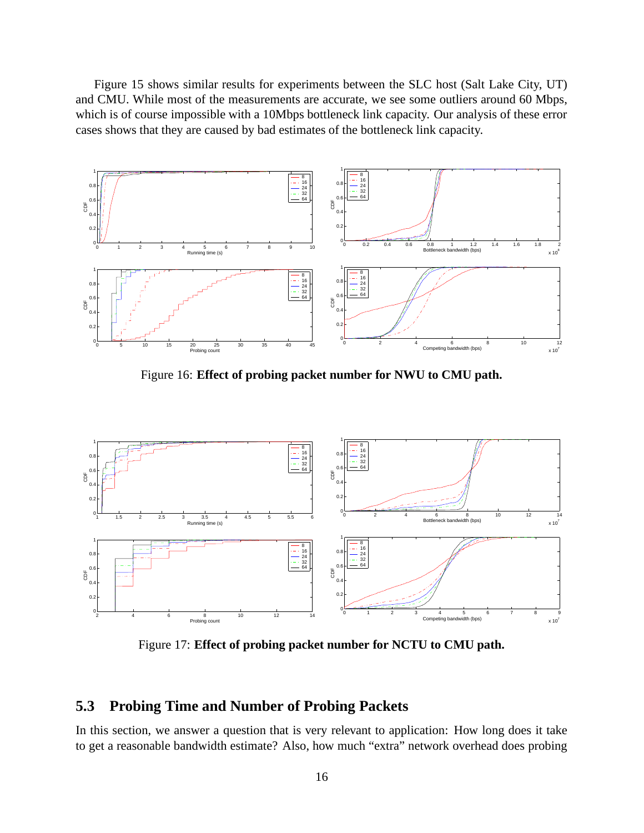Figure 15 shows similar results for experiments between the SLC host (Salt Lake City, UT) and CMU. While most of the measurements are accurate, we see some outliers around 60 Mbps, which is of course impossible with a 10Mbps bottleneck link capacity. Our analysis of these error cases shows that they are caused by bad estimates of the bottleneck link capacity.



Figure 16: **Effect of probing packet number for NWU to CMU path.**



Figure 17: **Effect of probing packet number for NCTU to CMU path.**

### **5.3 Probing Time and Number of Probing Packets**

In this section, we answer a question that is very relevant to application: How long does it take to get a reasonable bandwidth estimate? Also, how much "extra" network overhead does probing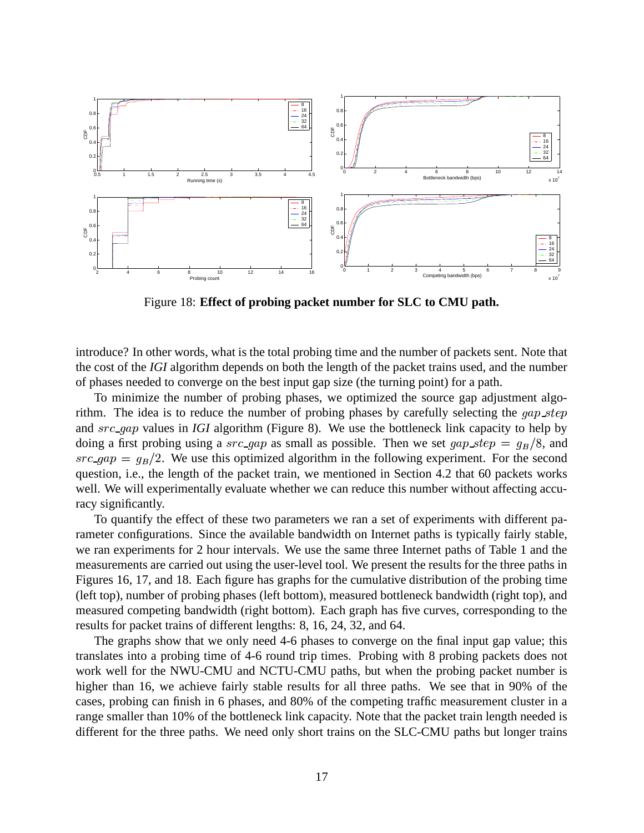

Figure 18: **Effect of probing packet number for SLC to CMU path.**

introduce? In other words, what is the total probing time and the number of packets sent. Note that the cost of the *IGI* algorithm depends on both the length of the packet trains used, and the number of phases needed to converge on the best input gap size (the turning point) for a path.

To minimize the number of probing phases, we optimized the source gap adjustment algorithm. The idea is to reduce the number of probing phases by carefully selecting the  $gap\_step$ and *src\_gap* values in *IGI* algorithm (Figure 8). We use the bottleneck link capacity to help by doing a first probing using a  $src\_gap$  as small as possible. Then we set  $gap\_step = g_B/8$ , and  $/8$ , and  $src\_gap = q_B/2$ . We use /2. We use this optimized algorithm in the following experiment. For the second question, i.e., the length of the packet train, we mentioned in Section 4.2 that 60 packets works well. We will experimentally evaluate whether we can reduce this number without affecting accuracy significantly.

To quantify the effect of these two parameters we ran a set of experiments with different parameter configurations. Since the available bandwidth on Internet paths is typically fairly stable, we ran experiments for 2 hour intervals. We use the same three Internet paths of Table 1 and the measurements are carried out using the user-level tool. We present the results for the three paths in Figures 16, 17, and 18. Each figure has graphs for the cumulative distribution of the probing time (left top), number of probing phases (left bottom), measured bottleneck bandwidth (right top), and measured competing bandwidth (right bottom). Each graph has five curves, corresponding to the results for packet trains of different lengths: 8, 16, 24, 32, and 64.

The graphs show that we only need 4-6 phases to converge on the final input gap value; this translates into a probing time of 4-6 round trip times. Probing with 8 probing packets does not work well for the NWU-CMU and NCTU-CMU paths, but when the probing packet number is higher than 16, we achieve fairly stable results for all three paths. We see that in 90% of the cases, probing can finish in 6 phases, and 80% of the competing traffic measurement cluster in a range smaller than 10% of the bottleneck link capacity. Note that the packet train length needed is different for the three paths. We need only short trains on the SLC-CMU paths but longer trains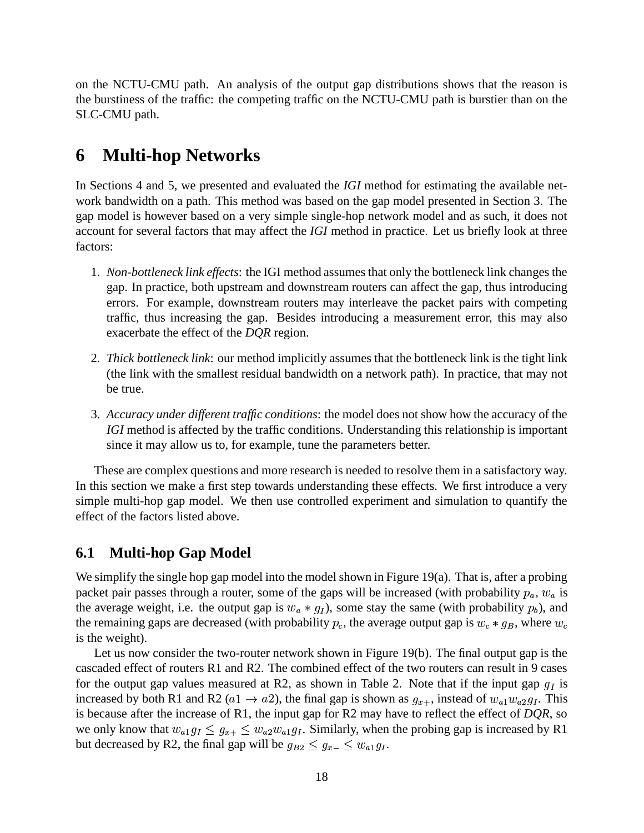on the NCTU-CMU path. An analysis of the output gap distributions shows that the reason is the burstiness of the traffic: the competing traffic on the NCTU-CMU path is burstier than on the SLC-CMU path.

# **6 Multi-hop Networks**

In Sections 4 and 5, we presented and evaluated the *IGI* method for estimating the available network bandwidth on a path. This method was based on the gap model presented in Section 3. The gap model is however based on a very simple single-hop network model and as such, it does not account for several factors that may affect the *IGI* method in practice. Let us briefly look at three factors:

- 1. *Non-bottleneck link effects*: the IGI method assumesthat only the bottleneck link changes the gap. In practice, both upstream and downstream routers can affect the gap, thus introducing errors. For example, downstream routers may interleave the packet pairs with competing traffic, thus increasing the gap. Besides introducing a measurement error, this may also exacerbate the effect of the *DQR* region.
- 2. *Thick bottleneck link*: our method implicitly assumes that the bottleneck link is the tight link (the link with the smallest residual bandwidth on a network path). In practice, that may not be true.
- 3. *Accuracy under different traffic conditions*: the model does not show how the accuracy of the *IGI* method is affected by the traffic conditions. Understanding this relationship is important since it may allow us to, for example, tune the parameters better.

These are complex questions and more research is needed to resolve them in a satisfactory way. In this section we make a first step towards understanding these effects. We first introduce a very simple multi-hop gap model. We then use controlled experiment and simulation to quantify the effect of the factors listed above.

### **6.1 Multi-hop Gap Model**

We simplify the single hop gap model into the model shown in Figure 19 $(a)$ . That is, after a probing packet pair passes through a router, some of the gaps will be increased (with probability  $p_a$ ,  $w_a$  is the average weight, i.e. the output gap is  $w_a * g_l$ ), some stay the same (with probability  $p_b$ ), and the remaining gaps are decreased (with probability  $p_c$ , the average output gap is  $w_c * g_B$ , where  $w_c$ is the weight).

Let us now consider the two-router network shown in Figure 19(b). The final output gap is the cascaded effect of routers R1 and R2. The combined effect of the two routers can result in 9 cases for the output gap values measured at R2, as shown in Table 2. Note that if the input gap  $g_I$  is increased by both R1 and R2 ( $a1 \rightarrow a2$ ), the final gap is shown as  $g_{x+}$ , instead of  $w_{a1}w_{a2}g_I$ . This is because after the increase of R1, the input gap for R2 may have to reflect the effect of *DQR*, so  $g_I$ . This we only know that  $w_{a1}g_1 \leq g_{x+} \leq$  $g_I \leq g_{x+} \leq w_{a2}w_{a1}g_I$ . Simil  $g_I$ . Similarly, when the probing gap is increased by R1 but decreased by R2, the final gap will be  $g_{B2} \le g_{x-} \le w_{a1}g_I$ .  $g_I$ .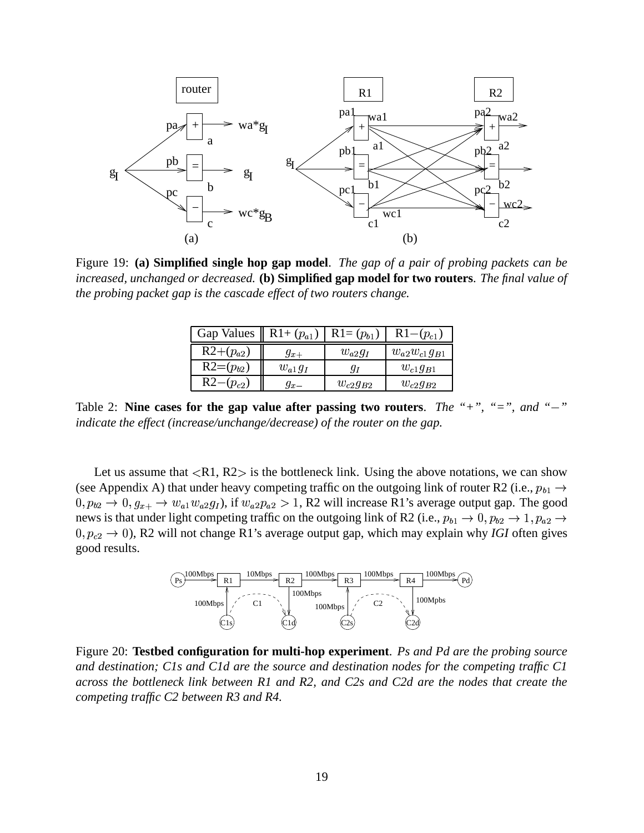

Figure 19: **(a) Simplified single hop gap model**. *The gap of a pair of probing packets can be increased, unchanged or decreased.* **(b) Simplified gap model for two routers**. *The final value of the probing packet gap is the cascade effect of two routers change.*

| Gap Values $\parallel$ R <sub>1+</sub> $(p_{a1})$ |             | $R1 = (p_{b1})$ | $R1-(p_{c1})$        |
|---------------------------------------------------|-------------|-----------------|----------------------|
| $R2+(p_{a2})$                                     | $g_{x+}$    | $w_{a2}g_I$     | $w_{a2}w_{c1}g_{B1}$ |
| $R2=(p_{b2})$                                     | $w_{a1}g_I$ | ЧΙ              | $w_{c1}g_{B1}$       |
| $R2-(p_{c2})$                                     | $g_{x-}$    | $w_{c2}q_{B2}$  | $w_{c2}g_{B2}$       |

Table 2: **Nine cases for the gap value after passing two routers**. *The "+", "=", and "*. *" indicate the effect (increase/unchange/decrease) of the router on the gap.*

Let us assume that  $\langle R1, R2 \rangle$  is the bottleneck link. Using the above notations, we can show (see Appendix A) that under heavy competing traffic on the outgoing link of router R2 (i.e.,  $p_{b1} \rightarrow$   $g_{x+} \rightarrow w_{a1}w_{a2}g_I$ ), if  $w_{a2}p_a$  $g_I$ ), if  $w_{a2}p_{a2} > 1$ , R2 , R2 will increase R1's average output gap. The good news is that under light competing traffic on the outgoing link of R2 (i.e.,  $p_{b1} \to 0$ ,  $p_{b2} \to 1$ ,  $p_{a2} \to$  $(0, p_{c2} \rightarrow 0)$ , R2 will not change R1's average output gap, which may explain why *IGI* often gives good results.



Figure 20: **Testbed configuration for multi-hop experiment**. *Ps and Pd are the probing source and destination; C1s and C1d are the source and destination nodes for the competing traffic C1 across the bottleneck link between R1 and R2, and C2s and C2d are the nodes that create the competing traffic C2 between R3 and R4.*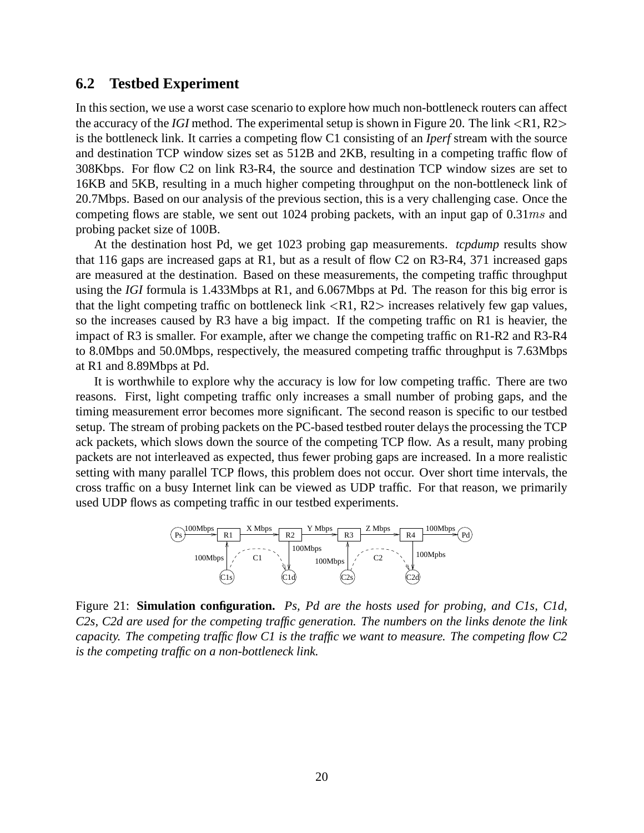### **6.2 Testbed Experiment**

In this section, we use a worst case scenario to explore how much non-bottleneck routers can affect the accuracy of the *IGI* method. The experimental setup is shown in Figure 20. The link  $\langle R1, R2 \rangle$ is the bottleneck link. It carries a competing flow C1 consisting of an *Iperf* stream with the source and destination TCP window sizes set as 512B and 2KB, resulting in a competing traffic flow of 308Kbps. For flow C2 on link R3-R4, the source and destination TCP window sizes are set to 16KB and 5KB, resulting in a much higher competing throughput on the non-bottleneck link of 20.7Mbps. Based on our analysis of the previous section, this is a very challenging case. Once the competing flows are stable, we sent out 1024 probing packets, with an input gap of  $0.31ms$  and probing packet size of 100B.

At the destination host Pd, we get 1023 probing gap measurements. *tcpdump* results show that 116 gaps are increased gaps at R1, but as a result of flow C2 on R3-R4, 371 increased gaps are measured at the destination. Based on these measurements, the competing traffic throughput using the *IGI* formula is 1.433Mbps at R1, and 6.067Mbps at Pd. The reason for this big error is that the light competing traffic on bottleneck link  $\langle R1, R2 \rangle$  increases relatively few gap values, so the increases caused by R3 have a big impact. If the competing traffic on R1 is heavier, the impact of R3 is smaller. For example, after we change the competing traffic on R1-R2 and R3-R4 to 8.0Mbps and 50.0Mbps, respectively, the measured competing traffic throughput is 7.63Mbps at R1 and 8.89Mbps at Pd.

It is worthwhile to explore why the accuracy is low for low competing traffic. There are two reasons. First, light competing traffic only increases a small number of probing gaps, and the timing measurement error becomes more significant. The second reason is specific to our testbed setup. The stream of probing packets on the PC-based testbed router delays the processing the TCP ack packets, which slows down the source of the competing TCP flow. As a result, many probing packets are not interleaved as expected, thus fewer probing gaps are increased. In a more realistic setting with many parallel TCP flows, this problem does not occur. Over short time intervals, the cross traffic on a busy Internet link can be viewed as UDP traffic. For that reason, we primarily used UDP flows as competing traffic in our testbed experiments.



Figure 21: **Simulation configuration.** *Ps, Pd are the hosts used for probing, and C1s, C1d, C2s, C2d are used for the competing traffic generation. The numbers on the links denote the link capacity. The competing traffic flow C1 is the traffic we want to measure. The competing flow C2 is the competing traffic on a non-bottleneck link.*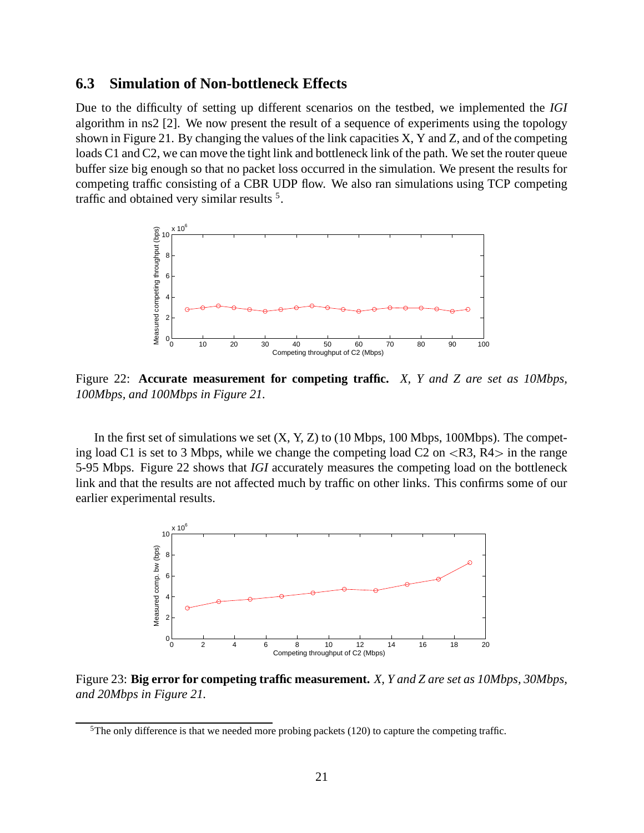### **6.3 Simulation of Non-bottleneck Effects**

Due to the difficulty of setting up different scenarios on the testbed, we implemented the *IGI* algorithm in ns2 [2]. We now present the result of a sequence of experiments using the topology shown in Figure 21. By changing the values of the link capacities X, Y and Z, and of the competing loads C1 and C2, we can move the tight link and bottleneck link of the path. We set the router queue buffer size big enough so that no packet loss occurred in the simulation. We present the results for competing traffic consisting of a CBR UDP flow. We also ran simulations using TCP competing traffic and obtained very similar results<sup>5</sup>.



Figure 22: **Accurate measurement for competing traffic.** *X, Y and Z are set as 10Mbps, 100Mbps, and 100Mbps in Figure 21.*

In the first set of simulations we set  $(X, Y, Z)$  to (10 Mbps, 100 Mbps, 100Mbps). The competing load C1 is set to 3 Mbps, while we change the competing load C2 on  $\langle R3, R4 \rangle$  in the range 5-95 Mbps. Figure 22 shows that *IGI* accurately measures the competing load on the bottleneck link and that the results are not affected much by traffic on other links. This confirms some of our earlier experimental results.



Figure 23: **Big error for competing traffic measurement.** *X, Y and Z are set as 10Mbps, 30Mbps, and 20Mbps in Figure 21.*

<sup>&</sup>lt;sup>5</sup>The only difference is that we needed more probing packets (120) to capture the competing traffic.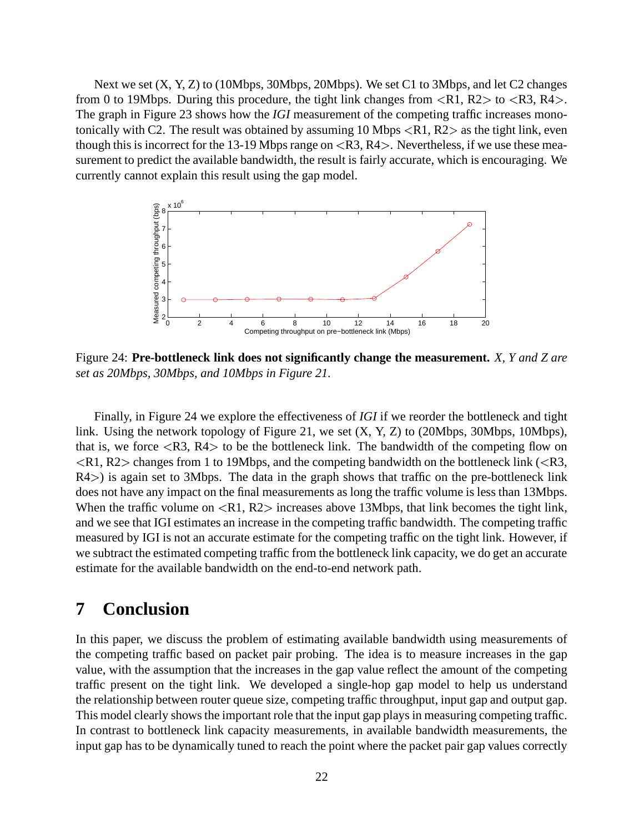Next we set  $(X, Y, Z)$  to (10Mbps, 30Mbps, 20Mbps). We set C1 to 3Mbps, and let C2 changes from 0 to 19Mbps. During this procedure, the tight link changes from  $\langle R1, R2 \rangle$  to  $\langle R3, R4 \rangle$ . The graph in Figure 23 shows how the *IGI* measurement of the competing traffic increases monotonically with C2. The result was obtained by assuming 10 Mbps  $\langle R1, R2 \rangle$  as the tight link, even though this is incorrect for the 13-19 Mbps range on  $\langle R3, R4 \rangle$ . Nevertheless, if we use these measurement to predict the available bandwidth, the result is fairly accurate, which is encouraging. We currently cannot explain this result using the gap model.



Figure 24: **Pre-bottleneck link does not significantly change the measurement.** *X, Y and Z are set as 20Mbps, 30Mbps, and 10Mbps in Figure 21.*

Finally, in Figure 24 we explore the effectiveness of *IGI* if we reorder the bottleneck and tight link. Using the network topology of Figure 21, we set (X, Y, Z) to (20Mbps, 30Mbps, 10Mbps), that is, we force  $\langle R3, R4 \rangle$  to be the bottleneck link. The bandwidth of the competing flow on  $\langle R1, R2 \rangle$  changes from 1 to 19Mbps, and the competing bandwidth on the bottleneck link ( $\langle R3, R2 \rangle$ R4>) is again set to 3Mbps. The data in the graph shows that traffic on the pre-bottleneck link does not have any impact on the final measurements as long the traffic volume is less than 13Mbps. When the traffic volume on  $\langle R1, R2 \rangle$  increases above 13Mbps, that link becomes the tight link, and we see that IGI estimates an increase in the competing traffic bandwidth. The competing traffic measured by IGI is not an accurate estimate for the competing traffic on the tight link. However, if we subtract the estimated competing traffic from the bottleneck link capacity, we do get an accurate estimate for the available bandwidth on the end-to-end network path.

# **7 Conclusion**

In this paper, we discuss the problem of estimating available bandwidth using measurements of the competing traffic based on packet pair probing. The idea is to measure increases in the gap value, with the assumption that the increases in the gap value reflect the amount of the competing traffic present on the tight link. We developed a single-hop gap model to help us understand the relationship between router queue size, competing traffic throughput, input gap and output gap. This model clearly shows the important role that the input gap plays in measuring competing traffic. In contrast to bottleneck link capacity measurements, in available bandwidth measurements, the input gap has to be dynamically tuned to reach the point where the packet pair gap values correctly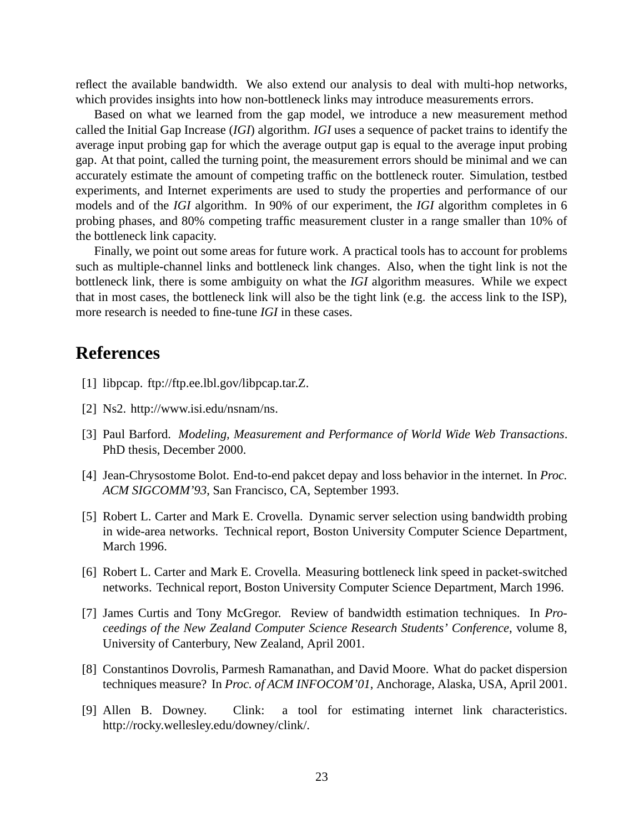reflect the available bandwidth. We also extend our analysis to deal with multi-hop networks, which provides insights into how non-bottleneck links may introduce measurements errors.

Based on what we learned from the gap model, we introduce a new measurement method called the Initial Gap Increase (*IGI*) algorithm. *IGI* uses a sequence of packet trains to identify the average input probing gap for which the average output gap is equal to the average input probing gap. At that point, called the turning point, the measurement errors should be minimal and we can accurately estimate the amount of competing traffic on the bottleneck router. Simulation, testbed experiments, and Internet experiments are used to study the properties and performance of our models and of the *IGI* algorithm. In 90% of our experiment, the *IGI* algorithm completes in 6 probing phases, and 80% competing traffic measurement cluster in a range smaller than 10% of the bottleneck link capacity.

Finally, we point out some areas for future work. A practical tools has to account for problems such as multiple-channel links and bottleneck link changes. Also, when the tight link is not the bottleneck link, there is some ambiguity on what the *IGI* algorithm measures. While we expect that in most cases, the bottleneck link will also be the tight link (e.g. the access link to the ISP), more research is needed to fine-tune *IGI* in these cases.

## **References**

- [1] libpcap. ftp://ftp.ee.lbl.gov/libpcap.tar.Z.
- [2] Ns2. http://www.isi.edu/nsnam/ns.
- [3] Paul Barford. *Modeling, Measurement and Performance of World Wide Web Transactions*. PhD thesis, December 2000.
- [4] Jean-Chrysostome Bolot. End-to-end pakcet depay and loss behavior in the internet. In *Proc. ACM SIGCOMM'93*, San Francisco, CA, September 1993.
- [5] Robert L. Carter and Mark E. Crovella. Dynamic server selection using bandwidth probing in wide-area networks. Technical report, Boston University Computer Science Department, March 1996.
- [6] Robert L. Carter and Mark E. Crovella. Measuring bottleneck link speed in packet-switched networks. Technical report, Boston University Computer Science Department, March 1996.
- [7] James Curtis and Tony McGregor. Review of bandwidth estimation techniques. In *Proceedings of the New Zealand Computer Science Research Students' Conference*, volume 8, University of Canterbury, New Zealand, April 2001.
- [8] Constantinos Dovrolis, Parmesh Ramanathan, and David Moore. What do packet dispersion techniques measure? In *Proc. of ACM INFOCOM'01*, Anchorage, Alaska, USA, April 2001.
- [9] Allen B. Downey. Clink: a tool for estimating internet link characteristics. http://rocky.wellesley.edu/downey/clink/.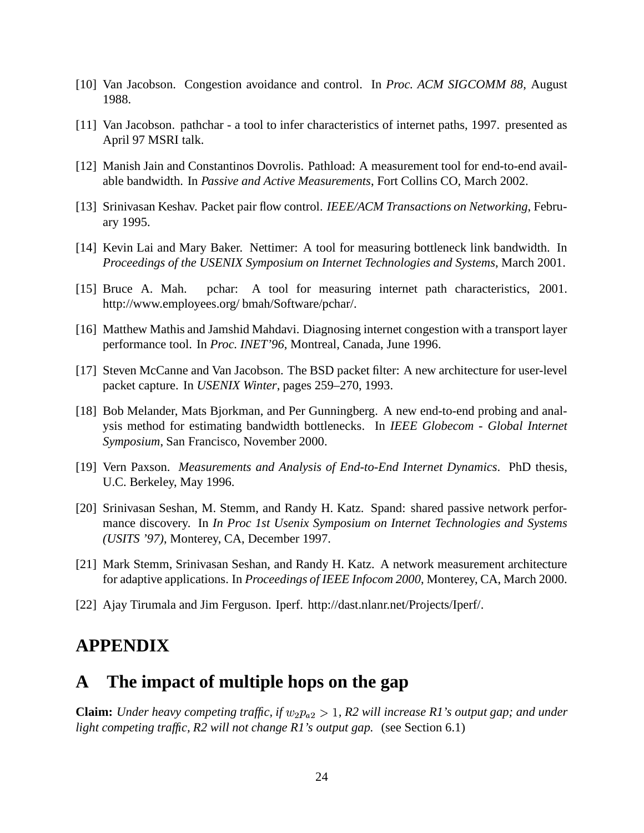- [10] Van Jacobson. Congestion avoidance and control. In *Proc. ACM SIGCOMM 88*, August 1988.
- [11] Van Jacobson. pathchar a tool to infer characteristics of internet paths, 1997. presented as April 97 MSRI talk.
- [12] Manish Jain and Constantinos Dovrolis. Pathload: A measurement tool for end-to-end available bandwidth. In *Passive and Active Measurements*, Fort Collins CO, March 2002.
- [13] Srinivasan Keshav. Packet pair flow control. *IEEE/ACM Transactions on Networking*, February 1995.
- [14] Kevin Lai and Mary Baker. Nettimer: A tool for measuring bottleneck link bandwidth. In *Proceedings of the USENIX Symposium on Internet Technologies and Systems*, March 2001.
- [15] Bruce A. Mah. pchar: A tool for measuring internet path characteristics, 2001. http://www.employees.org/ bmah/Software/pchar/.
- [16] Matthew Mathis and Jamshid Mahdavi. Diagnosing internet congestion with a transport layer performance tool. In *Proc. INET'96*, Montreal, Canada, June 1996.
- [17] Steven McCanne and Van Jacobson. The BSD packet filter: A new architecture for user-level packet capture. In *USENIX Winter*, pages 259–270, 1993.
- [18] Bob Melander, Mats Bjorkman, and Per Gunningberg. A new end-to-end probing and analysis method for estimating bandwidth bottlenecks. In *IEEE Globecom - Global Internet Symposium*, San Francisco, November 2000.
- [19] Vern Paxson. *Measurements and Analysis of End-to-End Internet Dynamics*. PhD thesis, U.C. Berkeley, May 1996.
- [20] Srinivasan Seshan, M. Stemm, and Randy H. Katz. Spand: shared passive network performance discovery. In *In Proc 1st Usenix Symposium on Internet Technologies and Systems (USITS '97)*, Monterey, CA, December 1997.
- [21] Mark Stemm, Srinivasan Seshan, and Randy H. Katz. A network measurement architecture for adaptive applications. In *Proceedings of IEEE Infocom 2000*, Monterey, CA, March 2000.
- [22] Ajay Tirumala and Jim Ferguson. Iperf. http://dast.nlanr.net/Projects/Iperf/.

## **APPENDIX**

## **A The impact of multiple hops on the gap**

**Claim:** Under heavy competing traffic, if  $w_2p_{a2} > 1$ , R2 *, R2 will increase R1's output gap; and under light competing traffic, R2 will not change R1's output gap.* (see Section 6.1)